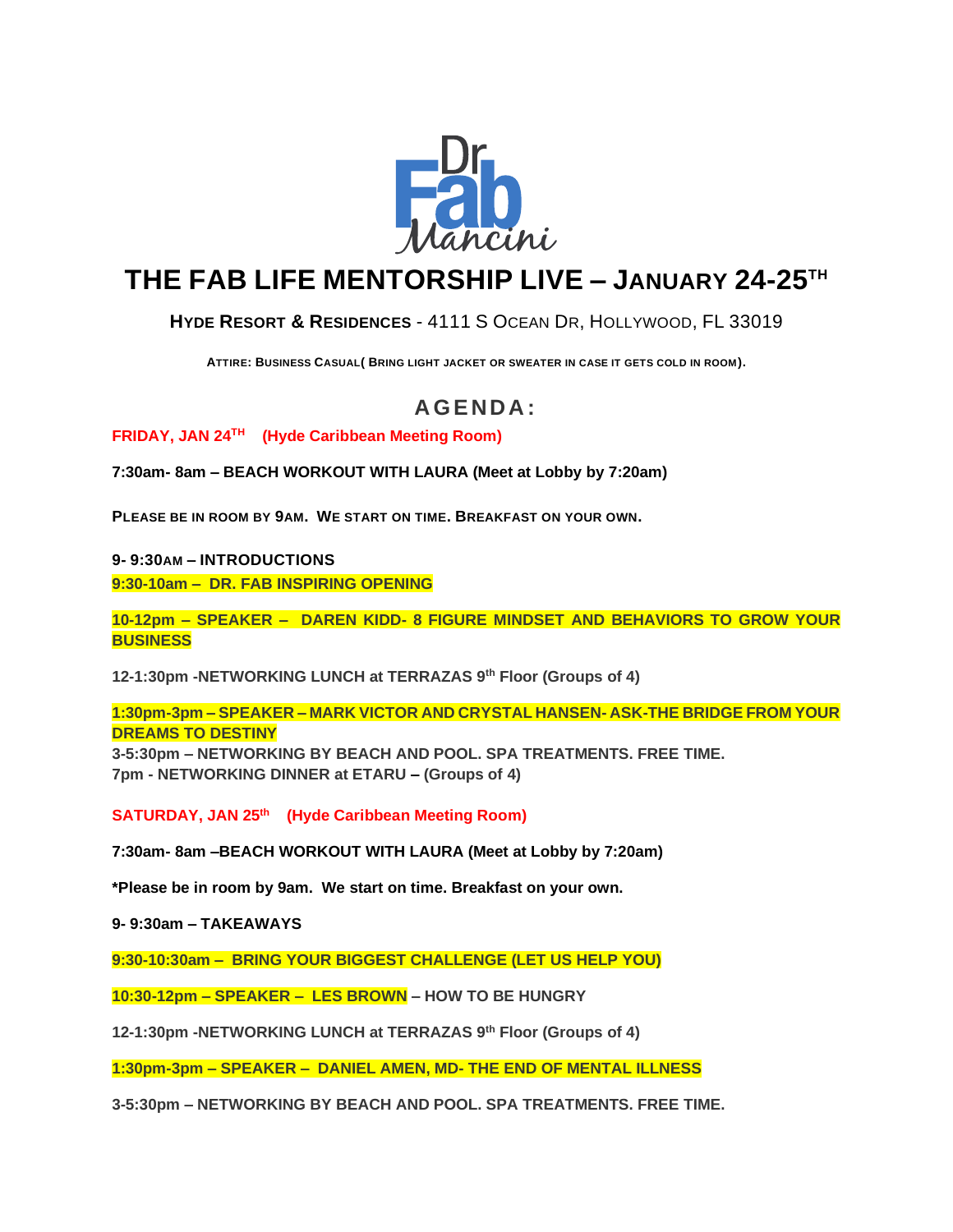

# **THE FAB LIFE MENTORSHIP LIVE – JANUARY 24-25TH**

**HYDE RESORT & R[ESIDENCES](http://www.hydehollywoodbeach.com/?utm_source=tripadvisor&utm_medium=ad&utm_term=website&utm_content=website&utm_campaign=tripadvisor)** - 4111 S OCEAN DR, H[OLLYWOOD](https://www.bing.com/local?lid=YN873x8041031132859029724&id=YN873x8041031132859029724&q=Hyde+Resort+%26+Residences&name=Hyde+Resort+%26+Residences&cp=25.98672866821289%7e-80.11866760253906&ppois=25.98672866821289_-80.11866760253906_Hyde+Resort+%26+Residences), FL 33019

**ATTIRE: BUSINESS CASUAL( BRING LIGHT JACKET OR SWEATER IN CASE IT GETS COLD IN ROOM).**

# **A G ENDA :**

**FRIDAY, JAN 24TH (Hyde Caribbean Meeting Room)**

**7:30am- 8am – BEACH WORKOUT WITH LAURA (Meet at Lobby by 7:20am)**

**PLEASE BE IN ROOM BY 9AM. WE START ON TIME. BREAKFAST ON YOUR OWN.**

**9- 9:30AM – INTRODUCTIONS**

**9:30-10am – DR. FAB INSPIRING OPENING**

**10-12pm – SPEAKER – DAREN KIDD- 8 FIGURE MINDSET AND BEHAVIORS TO GROW YOUR BUSINESS**

**12-1:30pm -NETWORKING LUNCH at TERRAZAS 9th Floor (Groups of 4)** 

**1:30pm-3pm – SPEAKER – MARK VICTOR AND CRYSTAL HANSEN- ASK-THE BRIDGE FROM YOUR DREAMS TO DESTINY**

**3-5:30pm – NETWORKING BY BEACH AND POOL. SPA TREATMENTS. FREE TIME. 7pm - NETWORKING DINNER at ETARU – (Groups of 4)**

**SATURDAY, JAN 25th (Hyde Caribbean Meeting Room)**

**7:30am- 8am –BEACH WORKOUT WITH LAURA (Meet at Lobby by 7:20am)**

**\*Please be in room by 9am. We start on time. Breakfast on your own.**

**9- 9:30am – TAKEAWAYS**

**9:30-10:30am – BRING YOUR BIGGEST CHALLENGE (LET US HELP YOU)**

**10:30-12pm – SPEAKER – LES BROWN – HOW TO BE HUNGRY**

**12-1:30pm -NETWORKING LUNCH at TERRAZAS 9th Floor (Groups of 4)** 

**1:30pm-3pm – SPEAKER – DANIEL AMEN, MD- THE END OF MENTAL ILLNESS**

**3-5:30pm – NETWORKING BY BEACH AND POOL. SPA TREATMENTS. FREE TIME.**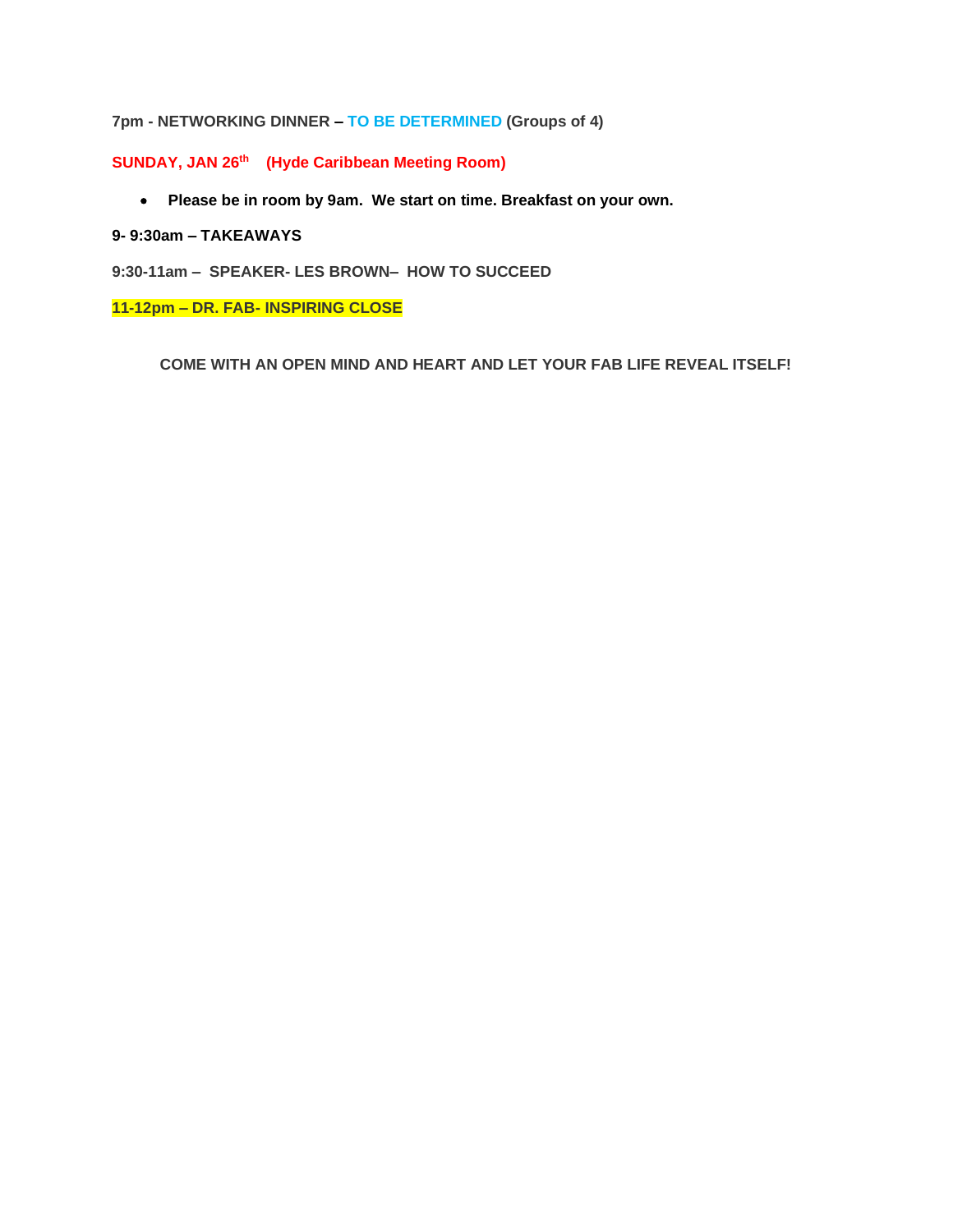## **7pm - NETWORKING DINNER – TO BE DETERMINED (Groups of 4)**

**SUNDAY, JAN 26th (Hyde Caribbean Meeting Room)**

• **Please be in room by 9am. We start on time. Breakfast on your own.**

### **9- 9:30am – TAKEAWAYS**

**9:30-11am – SPEAKER- LES BROWN– HOW TO SUCCEED**

**11-12pm – DR. FAB- INSPIRING CLOSE**

**COME WITH AN OPEN MIND AND HEART AND LET YOUR FAB LIFE REVEAL ITSELF!**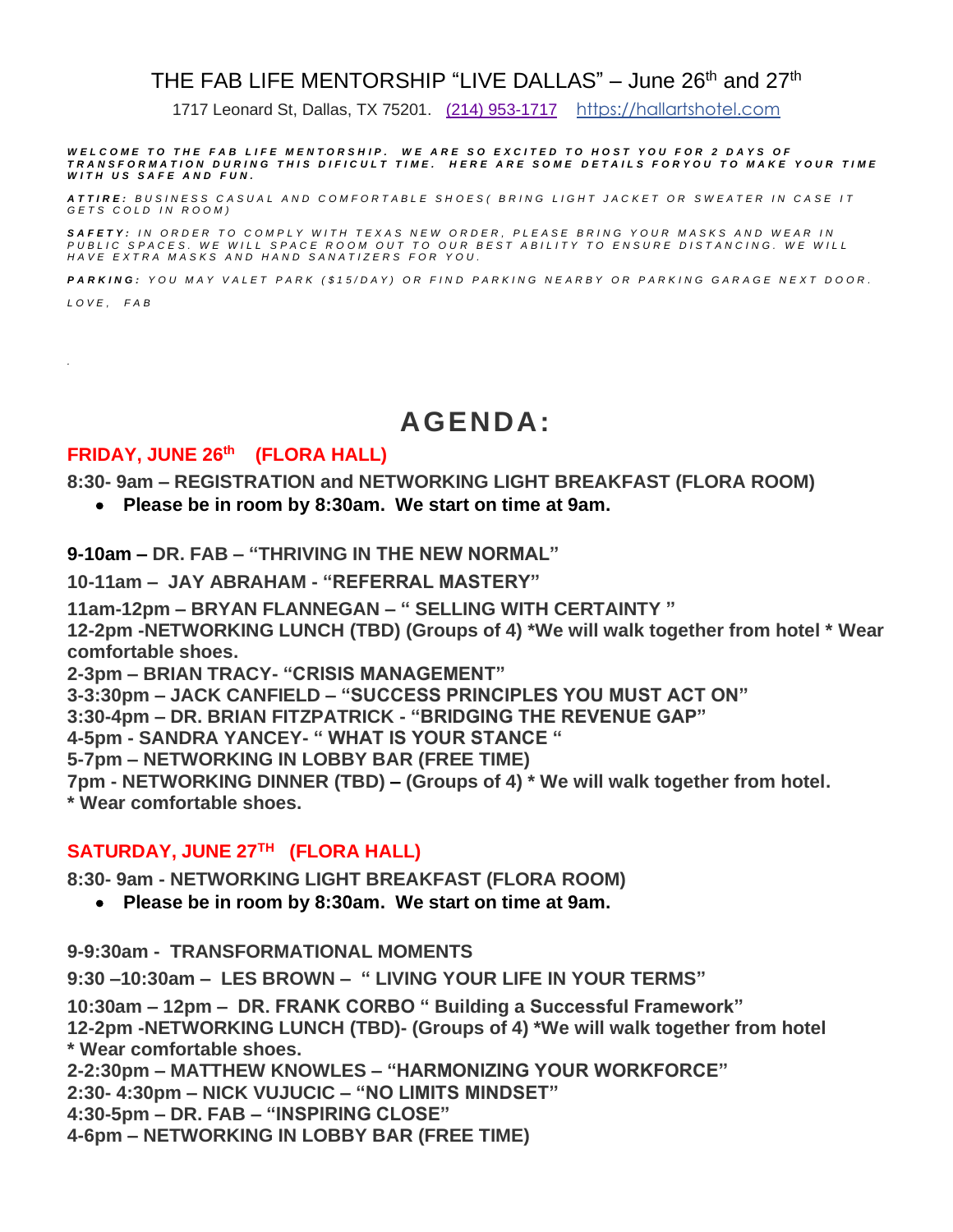# THE FAB LIFE MENTORSHIP "LIVE DALLAS" – June 26th and 27th

1717 Leonard St, Dallas, TX 75201. [\(214\) 953-1717](https://www.google.com/search?client=safari&rls=en&q=hall+art++hotel+dallas&ie=UTF-8&oe=UTF-8) [https://hallartshotel.com](https://hallartshotel.com/)

WELCOME TO THE FAB LIFE MENTORSHIP. WE ARE SO EXCITED TO HOST YOU FOR 2 DAYS OF<br>TRANSFORMATION DURING THIS DIFICULT TIME. HERE ARE SOME DETAILS FORYOU TO MAKE YOUR TIME *WITH US SAFE AND FUN.* 

*A T T I R E : B U S I N E S S C A S U A L A N D C O M F O R T A B L E S H O E S ( B R I N G L I G H T J A C K E T O R S W E A T E R I N C A S E I T G E T S C O L D I N R O O M )*

**SAFETY**: IN ORDER TO COMPLY WITH TEXAS NEW ORDER, PLEASE BRING YOUR MASKS AND WEAR IN<br>PUBLIC SPACES. WE WILL SPACE ROOM OUT TO OUR BEST ABILITY TO ENSURE DISTANCING. WE WILL<br>HAVE EXTRA MASKS AND HAND SANATIZERS FOR YOU.

*P A R K I N G : Y O U M A Y V A L E T P A R K ( \$ 1 5 / D A Y ) O R F I N D P A R K I N G N E A R B Y O R P A R K I N G G A R A G E N E X T D O O R .*

*L O V E , F A B*

*.*

# **AGENDA:**

### **FRIDAY, JUNE 26th (FLORA HALL)**

**8:30- 9am – REGISTRATION and NETWORKING LIGHT BREAKFAST (FLORA ROOM)**

• **Please be in room by 8:30am. We start on time at 9am.** 

**9-10am – DR. FAB – "THRIVING IN THE NEW NORMAL"**

**10-11am – JAY ABRAHAM - "REFERRAL MASTERY"**

**11am-12pm – BRYAN FLANNEGAN – " SELLING WITH CERTAINTY "** 

**12-2pm -NETWORKING LUNCH (TBD) (Groups of 4) \*We will walk together from hotel \* Wear comfortable shoes.**

**2-3pm – BRIAN TRACY- "CRISIS MANAGEMENT"**

**3-3:30pm – JACK CANFIELD – "SUCCESS PRINCIPLES YOU MUST ACT ON"** 

**3:30-4pm – DR. BRIAN FITZPATRICK - "BRIDGING THE REVENUE GAP"** 

**4-5pm - SANDRA YANCEY- " WHAT IS YOUR STANCE "** 

**5-7pm – NETWORKING IN LOBBY BAR (FREE TIME)**

**7pm - NETWORKING DINNER (TBD) – (Groups of 4) \* We will walk together from hotel.** 

**\* Wear comfortable shoes.**

# **SATURDAY, JUNE 27TH (FLORA HALL)**

**8:30- 9am - NETWORKING LIGHT BREAKFAST (FLORA ROOM)**

• **Please be in room by 8:30am. We start on time at 9am.** 

**9-9:30am - TRANSFORMATIONAL MOMENTS**

**9:30 –10:30am – LES BROWN – " LIVING YOUR LIFE IN YOUR TERMS"**

**10:30am – 12pm – DR. FRANK CORBO " Building a Successful Framework" 12-2pm -NETWORKING LUNCH (TBD)- (Groups of 4) \*We will walk together from hotel \* Wear comfortable shoes.**

**2-2:30pm – MATTHEW KNOWLES – "HARMONIZING YOUR WORKFORCE"** 

**2:30- 4:30pm – NICK VUJUCIC – "NO LIMITS MINDSET"** 

**4:30-5pm – DR. FAB – "INSPIRING CLOSE"** 

**4-6pm – NETWORKING IN LOBBY BAR (FREE TIME)**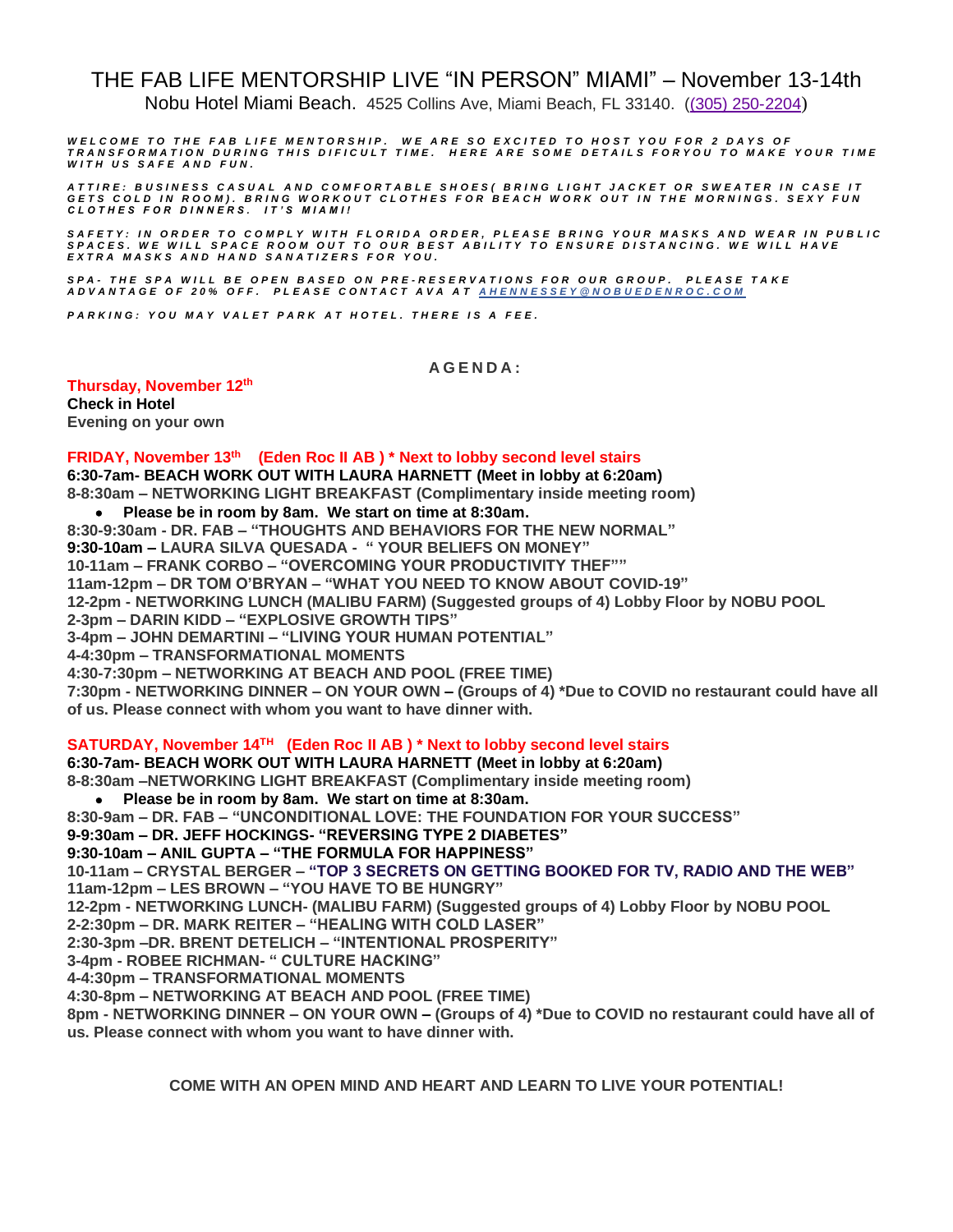# THE FAB LIFE MENTORSHIP LIVE "IN PERSON" MIAMI" – November 13-14th

Nobu Hotel Miami Beach. 4525 Collins Ave, Miami Beach, FL 33140. [\(\(305\) 250-2204](https://www.google.com/search?q=nobu+miami+beach+resort&rlz=1C5CHFA_enUS775US775&oq=nobu+miami+beach+resort&aqs=chrome.0.0i457j0i22i30l2.8143j0j7&sourceid=chrome&ie=UTF-8))

WELCOME TO THE FAB LIFE MENTORSHIP. WE ARE SO EXCITED TO HOST YOU FOR 2 DAYS OF<br>TRANSFORMATION DURING THIS DIFICULT TIME. HERE ARE SOME DETAILS FORYOU TO MAKE YOUR TIME WITH US SAFE AND FUN.

ATTIRE: BUSINESS CASUAL AND COMFORTABLE SHOES( BRING LIGHT JACKET OR SWEATER IN CASE IT<br>GETS COLD IN ROOM). BRING WORKOUT CLOTHES FOR BEACH WORK OUT IN THE MORNINGS. SEXY FUN<br>CLOTHES FOR DINNERS. IT'S MIAMI!

SAFETY: IN ORDER TO COMPLY WITH FLORIDA ORDER, PLEASE BRING YOUR MASKS AND WEAR IN PUBLIC<br>SPACES. WE WILL SPACE ROOM OUT TO OUR BEST ABILITY TO ENSURE DISTANCING. WE WILL HAVE<br>EXTRA MASKS AND HAND SANATIZERS FOR YOU.

*SPA - T H E S P A W I L L B E O P E N B A S E D O N P R E - R E S E R V A T I O N S F O R O U R G R O U P . P L E A S E T A K E*  A D V A N T A G E O F 20% OFF. PLEASE CONTACT AVA AT A HENNESSEY @ N O B U E D E N R O C. C O M

*P A R K I N G : Y O U M A Y V A L E T P A R K A T H O T E L . T H E R E I S A F E E .*

#### **A G E N D A :**

**Thursday, November 12 th Check in Hotel Evening on your own**

**FRIDAY, November 13th (Eden Roc II AB ) \* Next to lobby second level stairs 6:30-7am- BEACH WORK OUT WITH LAURA HARNETT (Meet in lobby at 6:20am) 8-8:30am – NETWORKING LIGHT BREAKFAST (Complimentary inside meeting room)** • **Please be in room by 8am. We start on time at 8:30am. 8:30-9:30am - DR. FAB – "THOUGHTS AND BEHAVIORS FOR THE NEW NORMAL" 9:30-10am – LAURA SILVA QUESADA - " YOUR BELIEFS ON MONEY" 10-11am – FRANK CORBO – "OVERCOMING YOUR PRODUCTIVITY THEF"" 11am-12pm – DR TOM O'BRYAN – "WHAT YOU NEED TO KNOW ABOUT COVID-19" 12-2pm - NETWORKING LUNCH (MALIBU FARM) (Suggested groups of 4) Lobby Floor by NOBU POOL 2-3pm – DARIN KIDD – "EXPLOSIVE GROWTH TIPS" 3-4pm – JOHN DEMARTINI – "LIVING YOUR HUMAN POTENTIAL" 4-4:30pm – TRANSFORMATIONAL MOMENTS**

**4:30-7:30pm – NETWORKING AT BEACH AND POOL (FREE TIME) 7:30pm - NETWORKING DINNER – ON YOUR OWN – (Groups of 4) \*Due to COVID no restaurant could have all of us. Please connect with whom you want to have dinner with.**

#### **SATURDAY, November 14TH (Eden Roc II AB ) \* Next to lobby second level stairs**

**6:30-7am- BEACH WORK OUT WITH LAURA HARNETT (Meet in lobby at 6:20am) 8-8:30am –NETWORKING LIGHT BREAKFAST (Complimentary inside meeting room)**

• **Please be in room by 8am. We start on time at 8:30am.** 

**8:30-9am – DR. FAB – "UNCONDITIONAL LOVE: THE FOUNDATION FOR YOUR SUCCESS"**

**9-9:30am – DR. JEFF HOCKINGS- "REVERSING TYPE 2 DIABETES"**

#### **9:30-10am – ANIL GUPTA – "THE FORMULA FOR HAPPINESS"**

**10-11am – CRYSTAL BERGER – "TOP 3 SECRETS ON GETTING BOOKED FOR TV, RADIO AND THE WEB" 11am-12pm – LES BROWN – "YOU HAVE TO BE HUNGRY"**

**12-2pm - NETWORKING LUNCH- (MALIBU FARM) (Suggested groups of 4) Lobby Floor by NOBU POOL**

**2-2:30pm – DR. MARK REITER – "HEALING WITH COLD LASER"**

**2:30-3pm –DR. BRENT DETELICH – "INTENTIONAL PROSPERITY"**

**3-4pm - ROBEE RICHMAN- " CULTURE HACKING"**

**4-4:30pm – TRANSFORMATIONAL MOMENTS**

**4:30-8pm – NETWORKING AT BEACH AND POOL (FREE TIME)**

**8pm - NETWORKING DINNER – ON YOUR OWN – (Groups of 4) \*Due to COVID no restaurant could have all of us. Please connect with whom you want to have dinner with.**

**COME WITH AN OPEN MIND AND HEART AND LEARN TO LIVE YOUR POTENTIAL!**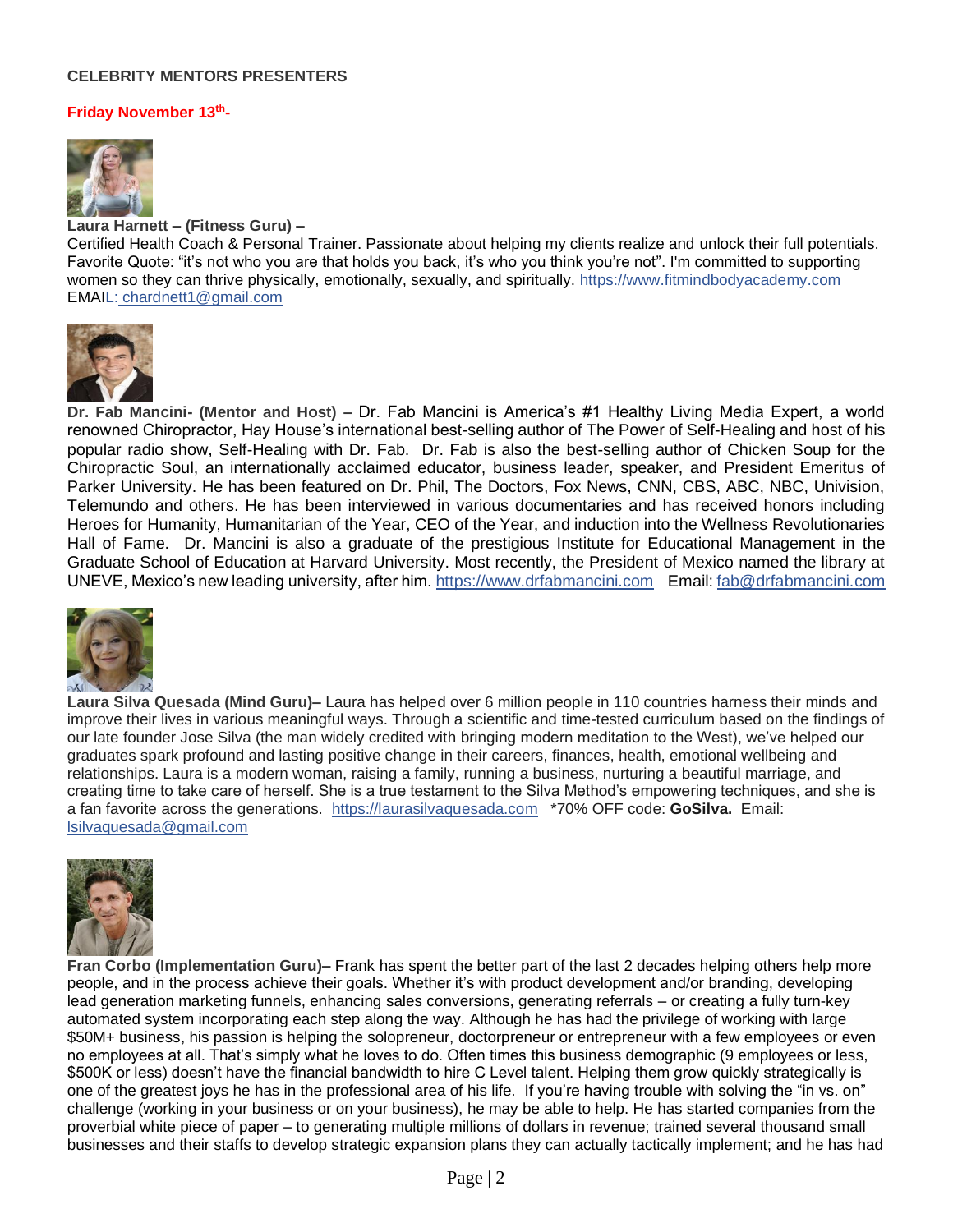### **CELEBRITY MENTORS PRESENTERS**

### **Friday November 13th-**



**Laura Harnett – (Fitness Guru) –** Certified Health Coach & Personal Trainer. Passionate about helping my clients realize and unlock their full potentials. Favorite Quote: "it's not who you are that holds you back, it's who you think you're not". I'm committed to supporting women so they can thrive physically, emotionally, sexually, and spiritually. [https://www.fitmindbodyacademy.com](https://www.fitmindbodyacademy.com/) EMAIL: [chardnett1@gmail.com](mailto:L:%20chardnett1@gmail.com)



**Dr. Fab Mancini- (Mentor and Host) –** Dr. Fab Mancini is America's #1 Healthy Living Media Expert, a world renowned Chiropractor, Hay House's international best-selling author of The Power of Self-Healing and host of his popular radio show, Self-Healing with Dr. Fab. Dr. Fab is also the best-selling author of Chicken Soup for the Chiropractic Soul, an internationally acclaimed educator, business leader, speaker, and President Emeritus of Parker University. He has been featured on Dr. Phil, The Doctors, Fox News, CNN, CBS, ABC, NBC, Univision, Telemundo and others. He has been interviewed in various documentaries and has received honors including Heroes for Humanity, Humanitarian of the Year, CEO of the Year, and induction into the Wellness Revolutionaries Hall of Fame. Dr. Mancini is also a graduate of the prestigious Institute for Educational Management in the Graduate School of Education at Harvard University. Most recently, the President of Mexico named the library at UNEVE, Mexico's new leading university, after him. [https://www.drfabmancini.com](https://www.drfabmancini.com/) Email[: fab@drfabmancini.com](mailto:fab@drfabmancini.com)



**Laura Silva Quesada (Mind Guru)–** Laura has helped over 6 million people in 110 countries harness their minds and improve their lives in various meaningful ways. Through a scientific and time-tested curriculum based on the findings of our late founder Jose Silva (the man widely credited with bringing modern meditation to the West), we've helped our graduates spark profound and lasting positive change in their careers, finances, health, emotional wellbeing and relationships. Laura is a modern woman, raising a family, running a business, nurturing a beautiful marriage, and creating time to take care of herself. She is a true testament to the Silva Method's empowering techniques, and she is a fan favorite across the generations. [https://laurasilvaquesada.com](https://laurasilvaquesada.com/) \*70% OFF code: **GoSilva.** Email: [lsilvaquesada@gmail.com](mailto:lsilvaquesada@gmail.com)



**Fran Corbo (Implementation Guru)–** Frank has spent the better part of the last 2 decades helping others help more people, and in the process achieve their goals. Whether it's with product development and/or branding, developing lead generation marketing funnels, enhancing sales conversions, generating referrals – or creating a fully turn-key automated system incorporating each step along the way. Although he has had the privilege of working with large \$50M+ business, his passion is helping the solopreneur, doctorpreneur or entrepreneur with a few employees or even no employees at all. That's simply what he loves to do. Often times this business demographic (9 employees or less, \$500K or less) doesn't have the financial bandwidth to hire C Level talent. Helping them grow quickly strategically is one of the greatest joys he has in the professional area of his life. If you're having trouble with solving the "in vs. on" challenge (working in your business or on your business), he may be able to help. He has started companies from the proverbial white piece of paper – to generating multiple millions of dollars in revenue; trained several thousand small businesses and their staffs to develop strategic expansion plans they can actually tactically implement; and he has had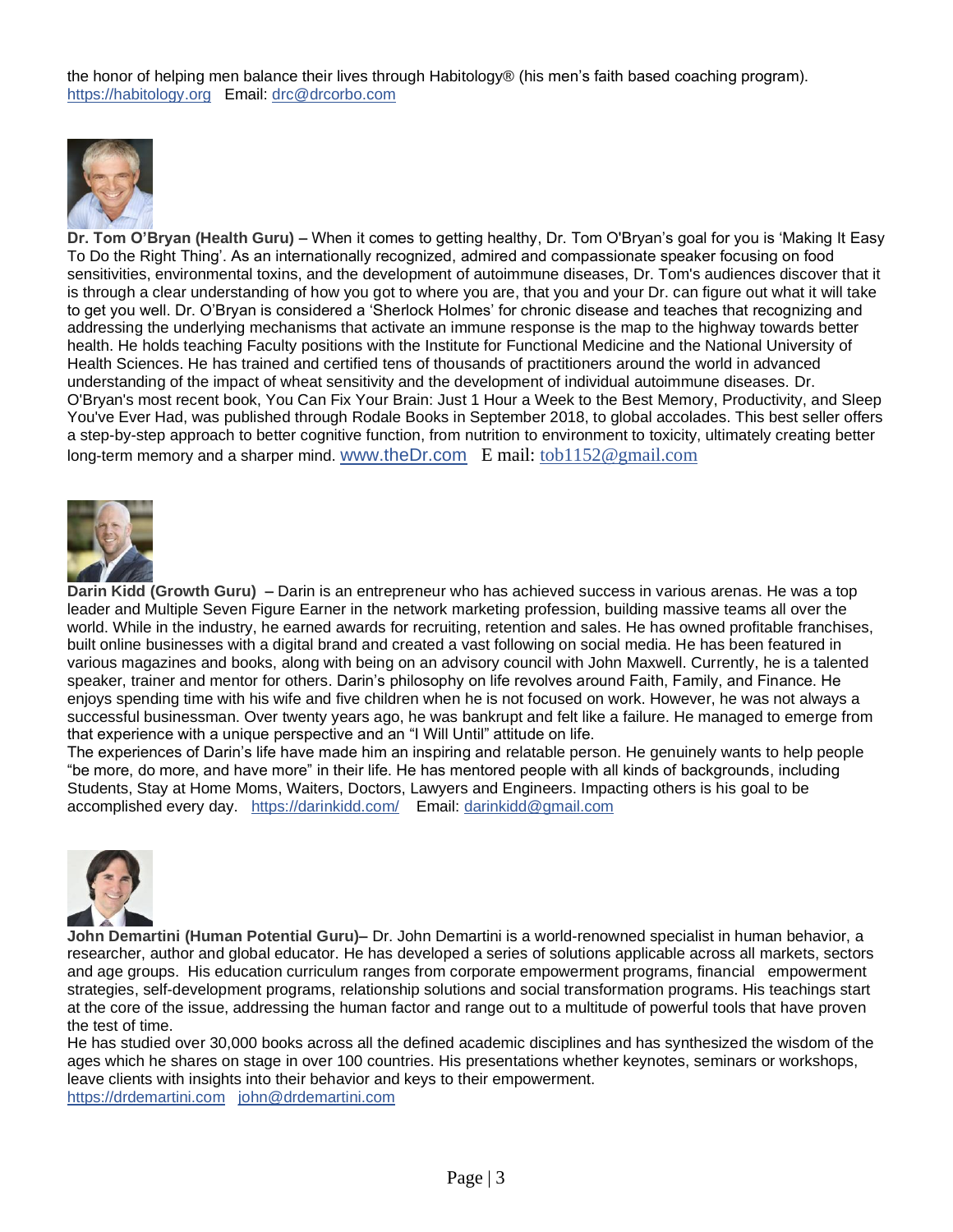the honor of helping men balance their lives through Habitology® (his men's faith based coaching program). [https://habitology.org](https://habitology.org/) Email: [drc@drcorbo.com](mailto:drc@drcorbo.com)



**Dr. Tom O'Bryan (Health Guru) –** When it comes to getting healthy, Dr. Tom O'Bryan's goal for you is 'Making It Easy To Do the Right Thing'. As an internationally recognized, admired and compassionate speaker focusing on food sensitivities, environmental toxins, and the development of autoimmune diseases, Dr. Tom's audiences discover that it is through a clear understanding of how you got to where you are, that you and your Dr. can figure out what it will take to get you well. Dr. O'Bryan is considered a 'Sherlock Holmes' for chronic disease and teaches that recognizing and addressing the underlying mechanisms that activate an immune response is the map to the highway towards better health. He holds teaching Faculty positions with the Institute for Functional Medicine and the National University of Health Sciences. He has trained and certified tens of thousands of practitioners around the world in advanced understanding of the impact of wheat sensitivity and the development of individual autoimmune diseases. Dr. O'Bryan's most recent book, You Can Fix Your Brain: Just 1 Hour a Week to the Best Memory, Productivity, and Sleep You've Ever Had, was published through Rodale Books in September 2018, to global accolades. This best seller offers a step-by-step approach to better cognitive function, from nutrition to environment to toxicity, ultimately creating better long-term memory and a sharper mind. [www.theDr.com](http://www.thedr.com/?fbclid=IwAR2NmcUKxQdoOVLDXw58_ce-NMhwu5mHZcLrLcRvslEw1i9zcUj4L0PzPrg) E mail: [tob1152@gmail.com](mailto:tob1152@gmail.com)



**Darin Kidd (Growth Guru) –** Darin is an entrepreneur who has achieved success in various arenas. He was a top leader and Multiple Seven Figure Earner in the network marketing profession, building massive teams all over the world. While in the industry, he earned awards for recruiting, retention and sales. He has owned profitable franchises, built online businesses with a digital brand and created a vast following on social media. He has been featured in various magazines and books, along with being on an advisory council with John Maxwell. Currently, he is a talented speaker, trainer and mentor for others. Darin's philosophy on life revolves around Faith, Family, and Finance. He enjoys spending time with his wife and five children when he is not focused on work. However, he was not always a successful businessman. Over twenty years ago, he was bankrupt and felt like a failure. He managed to emerge from that experience with a unique perspective and an "I Will Until" attitude on life.

The experiences of Darin's life have made him an inspiring and relatable person. He genuinely wants to help people "be more, do more, and have more" in their life. He has mentored people with all kinds of backgrounds, including Students, Stay at Home Moms, Waiters, Doctors, Lawyers and Engineers. Impacting others is his goal to be accomplished every day. <https://darinkidd.com/>Email: [darinkidd@gmail.com](mailto:darinkidd@gmail.com)



**John Demartini (Human Potential Guru)–** Dr. John Demartini is a world-renowned specialist in human behavior, a researcher, author and global educator. He has developed a series of solutions applicable across all markets, sectors and age groups. His education curriculum ranges from corporate empowerment programs, financial empowerment strategies, self-development programs, relationship solutions and social transformation programs. His teachings start at the core of the issue, addressing the human factor and range out to a multitude of powerful tools that have proven the test of time.

He has studied over 30,000 books across all the defined academic disciplines and has synthesized the wisdom of the ages which he shares on stage in over 100 countries. His presentations whether keynotes, seminars or workshops, leave clients with insights into their behavior and keys to their empowerment. [https://drdemartini.com](https://drdemartini.com/?fbclid=IwAR0hqB_Tc-ZnJCUXjFoSdo_Bto3bV2II0nc5gp2CX2fI_GT28H7rpD8Q4uw) [john@drdemartini.com](mailto:john@drdemartini.com)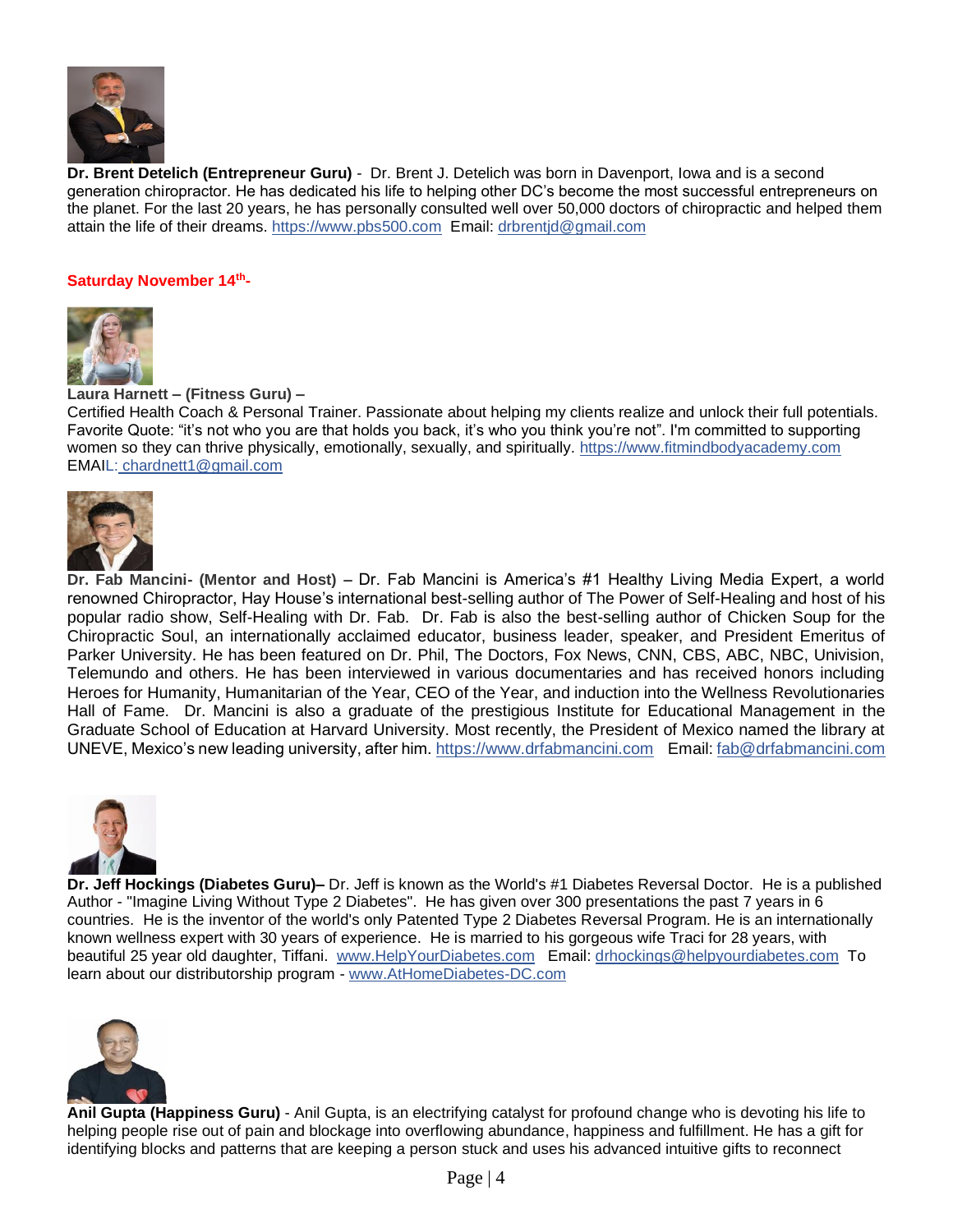

**Dr. Brent Detelich (Entrepreneur Guru)** - Dr. Brent J. Detelich was born in Davenport, Iowa and is a second generation chiropractor. He has dedicated his life to helping other DC's become the most successful entrepreneurs on the planet. For the last 20 years, he has personally consulted well over 50,000 doctors of chiropractic and helped them attain the life of their dreams. [https://www.pbs500.com](https://www.pbs500.com/) Email: [drbrentjd@gmail.com](mailto:drbrentjd@gmail.com)

#### **Saturday November 14th -**



**Laura Harnett – (Fitness Guru) –**

Certified Health Coach & Personal Trainer. Passionate about helping my clients realize and unlock their full potentials. Favorite Quote: "it's not who you are that holds you back, it's who you think you're not". I'm committed to supporting women so they can thrive physically, emotionally, sexually, and spiritually. [https://www.fitmindbodyacademy.com](https://www.fitmindbodyacademy.com/) EMAIL: [chardnett1@gmail.com](mailto:L:%20chardnett1@gmail.com)



**Dr. Fab Mancini- (Mentor and Host) –** Dr. Fab Mancini is America's #1 Healthy Living Media Expert, a world renowned Chiropractor, Hay House's international best-selling author of The Power of Self-Healing and host of his popular radio show, Self-Healing with Dr. Fab. Dr. Fab is also the best-selling author of Chicken Soup for the Chiropractic Soul, an internationally acclaimed educator, business leader, speaker, and President Emeritus of Parker University. He has been featured on Dr. Phil, The Doctors, Fox News, CNN, CBS, ABC, NBC, Univision, Telemundo and others. He has been interviewed in various documentaries and has received honors including Heroes for Humanity, Humanitarian of the Year, CEO of the Year, and induction into the Wellness Revolutionaries Hall of Fame. Dr. Mancini is also a graduate of the prestigious Institute for Educational Management in the Graduate School of Education at Harvard University. Most recently, the President of Mexico named the library at UNEVE, Mexico's new leading university, after him. [https://www.drfabmancini.com](https://www.drfabmancini.com/) Email[: fab@drfabmancini.com](mailto:fab@drfabmancini.com)



**Dr. Jeff Hockings (Diabetes Guru)–** Dr. Jeff is known as the World's #1 Diabetes Reversal Doctor. He is a published Author - "Imagine Living Without Type 2 Diabetes". He has given over 300 presentations the past 7 years in 6 countries. He is the inventor of the world's only Patented Type 2 Diabetes Reversal Program. He is an internationally known wellness expert with 30 years of experience. He is married to his gorgeous wife Traci for 28 years, with beautiful 25 year old daughter, Tiffani. [www.HelpYourDiabetes.com](http://www.helpyourdiabetes.com/) Email: [drhockings@helpyourdiabetes.com](mailto:drhockings@helpyourdiabetes.com) To learn about our distributorship program - [www.AtHomeDiabetes-DC.com](http://www.athomediabetes-dc.com/)



**Anil Gupta (Happiness Guru)** - Anil Gupta, is an electrifying catalyst for profound change who is devoting his life to helping people rise out of pain and blockage into overflowing abundance, happiness and fulfillment. He has a gift for identifying blocks and patterns that are keeping a person stuck and uses his advanced intuitive gifts to reconnect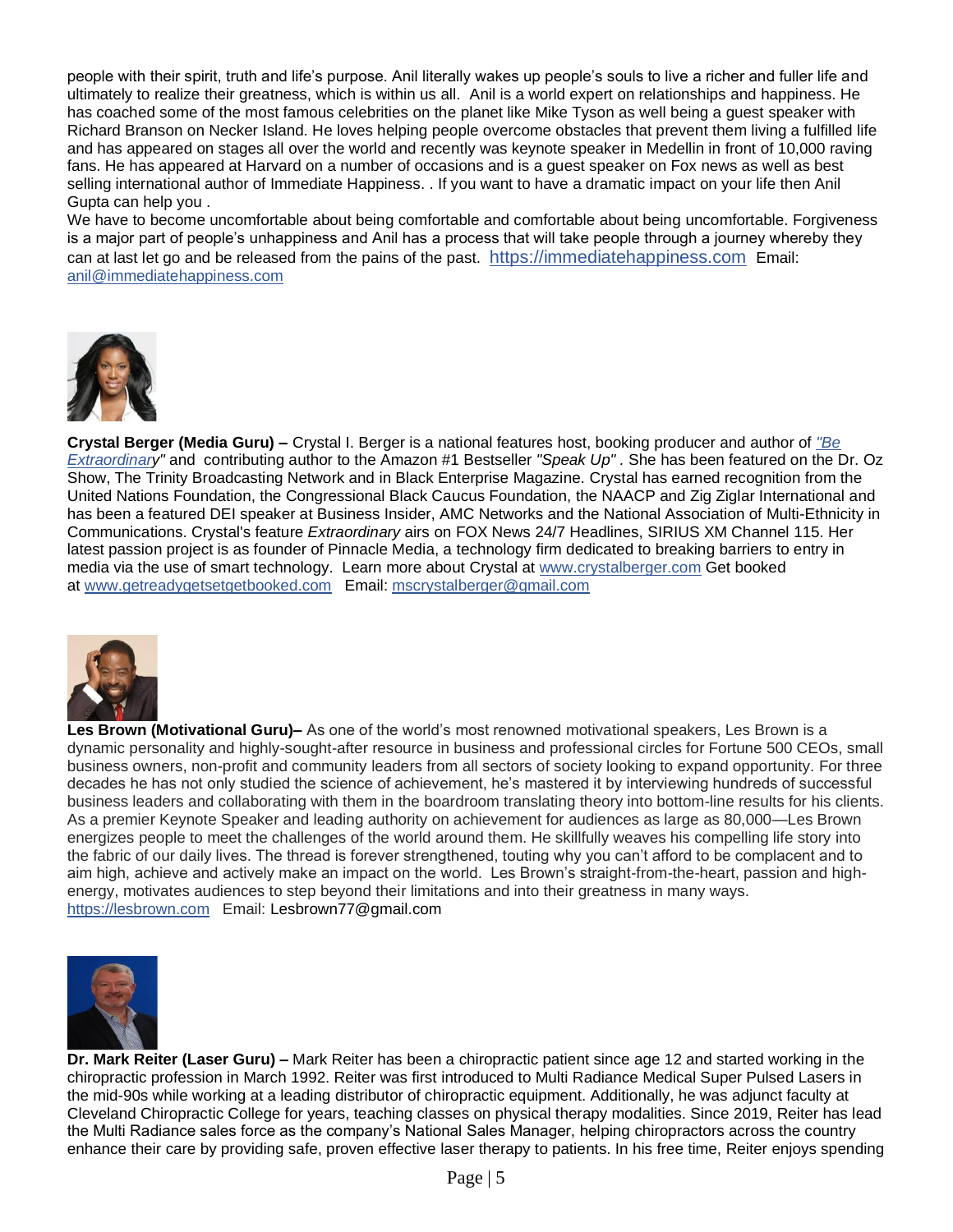people with their spirit, truth and life's purpose. Anil literally wakes up people's souls to live a richer and fuller life and ultimately to realize their greatness, which is within us all. Anil is a world expert on relationships and happiness. He has coached some of the most famous celebrities on the planet like Mike Tyson as well being a guest speaker with Richard Branson on Necker Island. He loves helping people overcome obstacles that prevent them living a fulfilled life and has appeared on stages all over the world and recently was keynote speaker in Medellin in front of 10,000 raving fans. He has appeared at Harvard on a number of occasions and is a guest speaker on Fox news as well as best selling international author of Immediate Happiness. . If you want to have a dramatic impact on your life then Anil Gupta can help you .

We have to become uncomfortable about being comfortable and comfortable about being uncomfortable. Forgiveness is a major part of people's unhappiness and Anil has a process that will take people through a journey whereby they can at last let go and be released from the pains of the past. [https://immediatehappiness.com](https://immediatehappiness.com/?fbclid=IwAR10llEnADgaAPIoDA07by50dQ_HwbKZ7f6HxlhSMg7mry3r_mbNQwvgy7I) Email: [anil@immediatehappiness.com](mailto:anil@immediatehappiness.com)



**Crystal Berger (Media Guru) –** Crystal I. Berger is a national features host, booking producer and author of *["Be](https://www.cbinspires.com/copy-of-hang-with-cb)  [Extraordinary](https://www.cbinspires.com/copy-of-hang-with-cb)"* and contributing author to the Amazon #1 Bestseller *"Speak Up" .* She has been featured on the Dr. Oz Show, The Trinity Broadcasting Network and in Black Enterprise Magazine. Crystal has earned recognition from the United Nations Foundation, the Congressional Black Caucus Foundation, the NAACP and Zig Ziglar International and has been a featured DEI speaker at Business Insider, AMC Networks and the National Association of Multi-Ethnicity in Communications. Crystal's feature *Extraordinary* airs on FOX News 24/7 Headlines, SIRIUS XM Channel 115. Her latest passion project is as founder of Pinnacle Media, a technology firm dedicated to breaking barriers to entry in media via the use of smart technology. Learn more about Crystal at [www.crystalberger.com](http://www.crystalberger.com/) Get booked at [www.getreadygetsetgetbooked.com](http://www.getreadygetsetgetbooked.com/) Email: [mscrystalberger@gmail.com](mailto:mscrystalberger@gmail.com)



**Les Brown (Motivational Guru)–** As one of the world's most renowned motivational speakers, Les Brown is a dynamic personality and highly-sought-after resource in business and professional circles for Fortune 500 CEOs, small business owners, non-profit and community leaders from all sectors of society looking to expand opportunity. For three decades he has not only studied the science of achievement, he's mastered it by interviewing hundreds of successful business leaders and collaborating with them in the boardroom translating theory into bottom-line results for his clients. As a premier Keynote Speaker and leading authority on achievement for audiences as large as 80,000—Les Brown energizes people to meet the challenges of the world around them. He skillfully weaves his compelling life story into the fabric of our daily lives. The thread is forever strengthened, touting why you can't afford to be complacent and to aim high, achieve and actively make an impact on the world. Les Brown's straight-from-the-heart, passion and highenergy, motivates audiences to step beyond their limitations and into their greatness in many ways. [https://lesbrown.com](https://lesbrown.com/) Email: [Lesbrown77@gmail.com](mailto:Lesbrown77@gmail.com)



**Dr. Mark Reiter (Laser Guru) –** Mark Reiter has been a chiropractic patient since age 12 and started working in the chiropractic profession in March 1992. Reiter was first introduced to Multi Radiance Medical Super Pulsed Lasers in the mid-90s while working at a leading distributor of chiropractic equipment. Additionally, he was adjunct faculty at Cleveland Chiropractic College for years, teaching classes on physical therapy modalities. Since 2019, Reiter has lead the Multi Radiance sales force as the company's National Sales Manager, helping chiropractors across the country enhance their care by providing safe, proven effective laser therapy to patients. In his free time, Reiter enjoys spending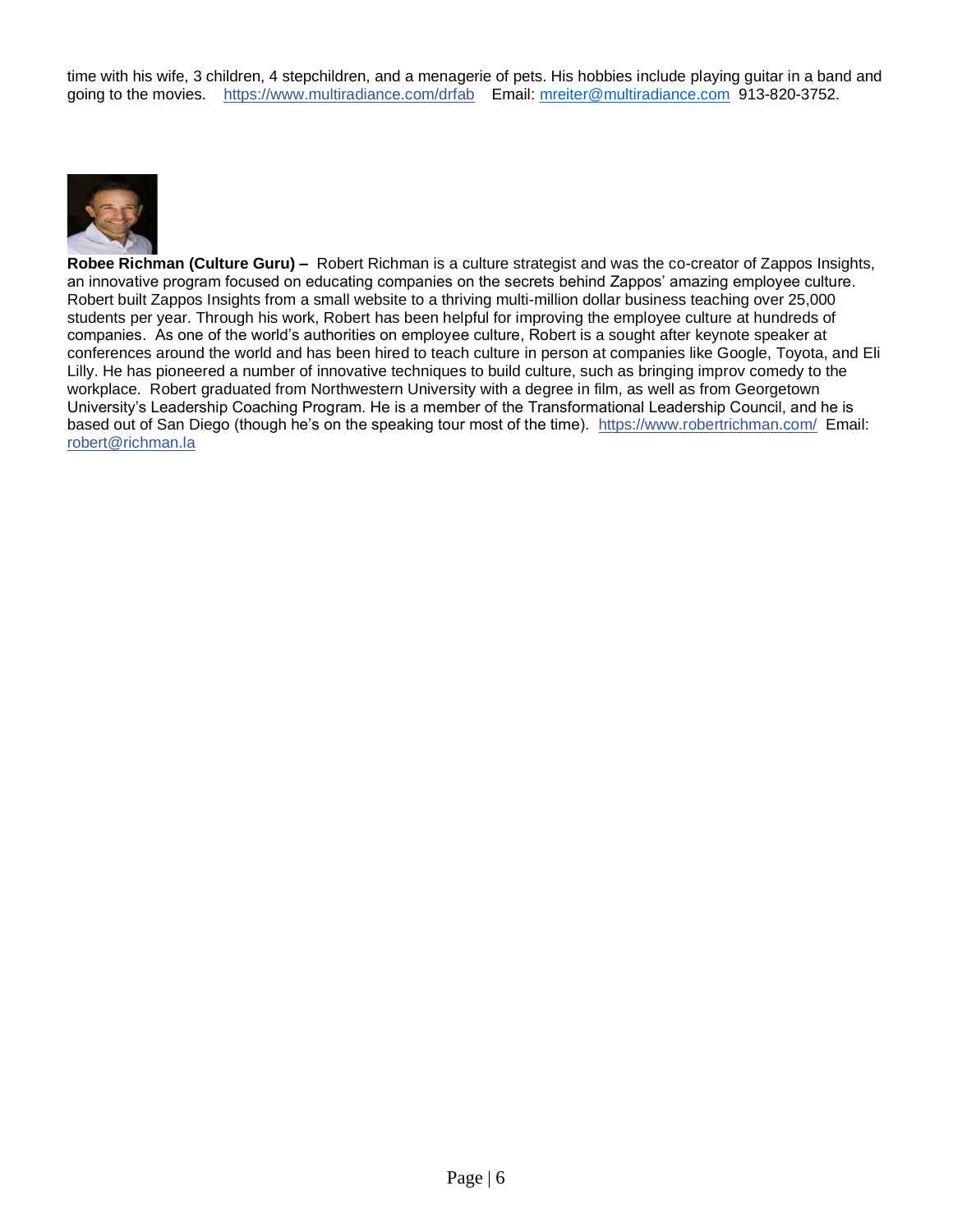time with his wife, 3 children, 4 stepchildren, and a menagerie of pets. His hobbies include playing guitar in a band and going to the movies. <https://www.multiradiance.com/drfab> Email: [mreiter@multiradiance.com](mailto:mreiter@multiradiance.com) 913-820-3752.



**Robee Richman (Culture Guru) –** Robert Richman is a culture strategist and was the co-creator of Zappos Insights, an innovative program focused on educating companies on the secrets behind Zappos' amazing employee culture. Robert built Zappos Insights from a small website to a thriving multi-million dollar business teaching over 25,000 students per year. Through his work, Robert has been helpful for improving the employee culture at hundreds of companies. As one of the world's authorities on employee culture, Robert is a sought after keynote speaker at conferences around the world and has been hired to teach culture in person at companies like Google, Toyota, and Eli Lilly. He has pioneered a number of innovative techniques to build culture, such as bringing improv comedy to the workplace. Robert graduated from Northwestern University with a degree in film, as well as from Georgetown University's Leadership Coaching Program. He is a member of the Transformational Leadership Council, and he is based out of San Diego (though he's on the speaking tour most of the time). <https://www.robertrichman.com/>Email: [robert@richman.la](mailto:robert@richman.la)